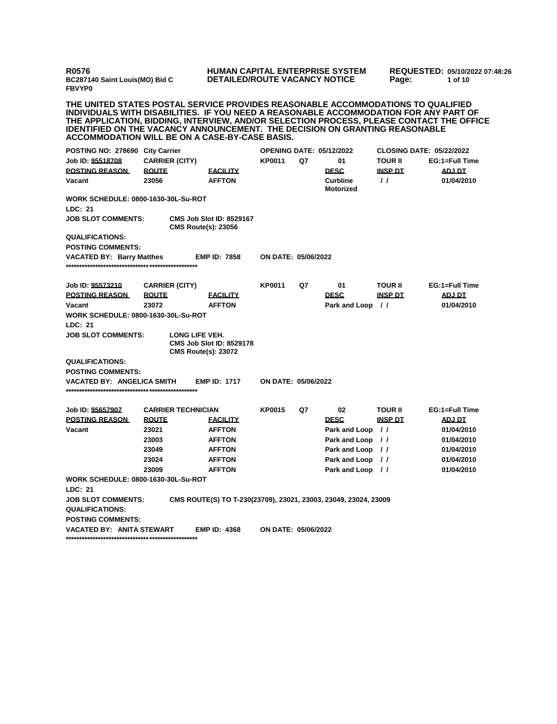**R0576 BC287140 Saint Louis(MO) Bid C FBVYP0**

## **HUMAN CAPITAL ENTERPRISE SYSTEM DETAILED/ROUTE VACANCY NOTICE**

**REQUESTED: 05/10/2022 07:48:26 Page: 1 of 10** 

**THE UNITED STATES POSTAL SERVICE PROVIDES REASONABLE ACCOMMODATIONS TO QUALIFIED INDIVIDUALS WITH DISABILITIES. IF YOU NEED A REASONABLE ACCOMMODATION FOR ANY PART OF THE APPLICATION, BIDDING, INTERVIEW, AND/OR SELECTION PROCESS, PLEASE CONTACT THE OFFICE IDENTIFIED ON THE VACANCY ANNOUNCEMENT. THE DECISION ON GRANTING REASONABLE ACCOMMODATION WILL BE ON A CASE-BY-CASE BASIS.**

| POSTING NO: 278690 City Carrier                |                       |                                                                                 | <b>OPENING DATE: 05/12/2022</b> |    |                                     |                   | <b>CLOSING DATE: 05/22/2022</b> |
|------------------------------------------------|-----------------------|---------------------------------------------------------------------------------|---------------------------------|----|-------------------------------------|-------------------|---------------------------------|
| Job ID: <u>95518708</u>                        | <b>CARRIER (CITY)</b> |                                                                                 | <b>KP0011</b>                   | Q7 | 01                                  | <b>TOUR II</b>    | EG:1=Full Time                  |
| <b>POSTING REASON</b>                          | <b>ROUTE</b>          | <b>FACILITY</b>                                                                 |                                 |    | <b>DESC</b>                         | <b>INSP DT</b>    | <b>ADJ DT</b>                   |
| Vacant                                         | 23056                 | <b>AFFTON</b>                                                                   |                                 |    | <b>Curbline</b><br><b>Motorized</b> | $\prime$ $\prime$ | 01/04/2010                      |
| WORK SCHEDULE: 0800-1630-30L-Su-ROT<br>LDC: 21 |                       |                                                                                 |                                 |    |                                     |                   |                                 |
| <b>JOB SLOT COMMENTS:</b>                      |                       | <b>CMS Job Slot ID: 8529167</b><br><b>CMS Route(s): 23056</b>                   |                                 |    |                                     |                   |                                 |
| <b>QUALIFICATIONS:</b>                         |                       |                                                                                 |                                 |    |                                     |                   |                                 |
| <b>POSTING COMMENTS:</b>                       |                       |                                                                                 |                                 |    |                                     |                   |                                 |
| <b>VACATED BY: Barry Matthes</b>               |                       | <b>EMP ID: 7858</b>                                                             | ON DATE: 05/06/2022             |    |                                     |                   |                                 |
| Job ID: 95573210                               | <b>CARRIER (CITY)</b> |                                                                                 | <b>KP0011</b>                   | Q7 | 01                                  | <b>TOUR II</b>    | EG:1=Full Time                  |
| <b>POSTING REASON</b>                          | <b>ROUTE</b>          | <b>FACILITY</b>                                                                 |                                 |    | <b>DESC</b>                         | <b>INSP DT</b>    | ADJ DT                          |
| Vacant                                         | 23072                 | <b>AFFTON</b>                                                                   |                                 |    | Park and Loop //                    |                   | 01/04/2010                      |
| <b>WORK SCHEDULE: 0800-1630-30L-Su-ROT</b>     |                       |                                                                                 |                                 |    |                                     |                   |                                 |
| LDC: 21                                        |                       |                                                                                 |                                 |    |                                     |                   |                                 |
| <b>JOB SLOT COMMENTS:</b>                      |                       | LONG LIFE VEH.<br><b>CMS Job Slot ID: 8529178</b><br><b>CMS Route(s): 23072</b> |                                 |    |                                     |                   |                                 |
| <b>QUALIFICATIONS:</b>                         |                       |                                                                                 |                                 |    |                                     |                   |                                 |
| <b>POSTING COMMENTS:</b>                       |                       |                                                                                 |                                 |    |                                     |                   |                                 |
| <b>VACATED BY: ANGELICA SMITH</b>              |                       | <b>EMP ID: 1717</b>                                                             | ON DATE: 05/06/2022             |    |                                     |                   |                                 |
| Job ID: 95657907                               |                       | <b>CARRIER TECHNICIAN</b>                                                       | <b>KP0015</b>                   | Q7 | 02                                  | <b>TOUR II</b>    | EG:1=Full Time                  |
| <b>POSTING REASON</b>                          | <b>ROUTE</b>          | <b>EACILITY</b>                                                                 |                                 |    | <b>DESC</b>                         | <b>INSP DT</b>    | ADJ DT                          |
| Vacant                                         | 23021                 | <b>AFFTON</b>                                                                   |                                 |    | Park and Loop                       | $\frac{1}{2}$     | 01/04/2010                      |
|                                                | 23003                 | <b>AFFTON</b>                                                                   |                                 |    | Park and Loop                       | $\prime$          | 01/04/2010                      |
|                                                | 23049                 | <b>AFFTON</b>                                                                   |                                 |    | Park and Loop //                    |                   | 01/04/2010                      |
|                                                | 23024                 | <b>AFFTON</b>                                                                   |                                 |    | Park and Loop //                    |                   | 01/04/2010                      |
|                                                | 23009                 | <b>AFFTON</b>                                                                   |                                 |    | Park and Loop //                    |                   | 01/04/2010                      |
| <b>WORK SCHEDULE: 0800-1630-30L-Su-ROT</b>     |                       |                                                                                 |                                 |    |                                     |                   |                                 |
| LDC: 21                                        |                       |                                                                                 |                                 |    |                                     |                   |                                 |
| <b>JOB SLOT COMMENTS:</b>                      |                       | CMS ROUTE(S) TO T-230(23709), 23021, 23003, 23049, 23024, 23009                 |                                 |    |                                     |                   |                                 |
| <b>QUALIFICATIONS:</b>                         |                       |                                                                                 |                                 |    |                                     |                   |                                 |
| <b>POSTING COMMENTS:</b>                       |                       |                                                                                 |                                 |    |                                     |                   |                                 |
| <b>VACATED BY: ANITA STEWART</b>               |                       | <b>EMP ID: 4368</b>                                                             | <b>ON DATE: 05/06/2022</b>      |    |                                     |                   |                                 |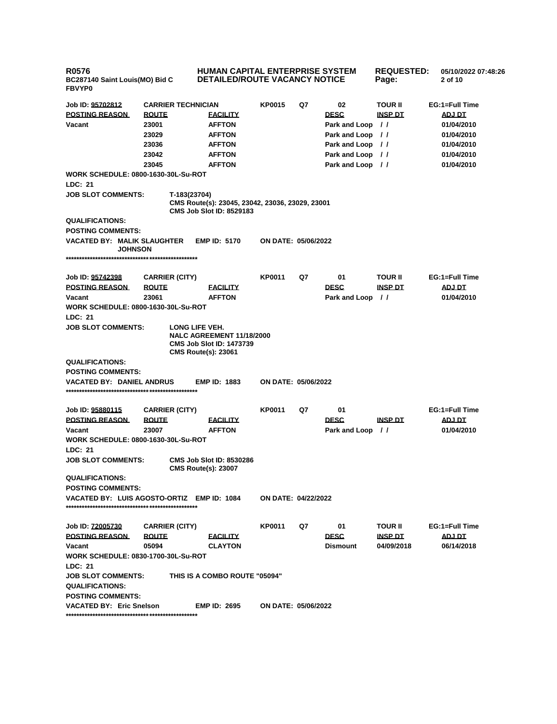**R0576 BC287140 Saint Louis(MO) Bid C FBVYP0 HUMAN CAPITAL ENTERPRISE SYSTEM DETAILED/ROUTE VACANCY NOTICE REQUESTED: 05/10/2022 07:48:26 Page: 2 of 10 Job ID: 95702812 CARRIER TECHNICIAN KP0015 Q7 02 TOUR II EG:1=Full Time POSTING REASON ROUTE FACILITY DESC INSP DT ADJ DT Vacant 23001 AFFTON Park and Loop / / 01/04/2010 23029 AFFTON Park and Loop / / 01/04/2010 23036 AFFTON Park and Loop / / 01/04/2010 23042 AFFTON Park and Loop / / 01/04/2010 23045 AFFTON Park and Loop / / 01/04/2010 WORK SCHEDULE: 0800-1630-30L-Su-ROT LDC: 21 JOB SLOT COMMENTS: T-183(23704) CMS Route(s): 23045, 23042, 23036, 23029, 23001 CMS Job Slot ID: 8529183 QUALIFICATIONS: POSTING COMMENTS: VACATED BY: MALIK SLAUGHTER JOHNSON EMP ID: 5170 ON DATE: 05/06/2022 \*\*\*\*\*\*\*\*\*\*\*\*\*\*\*\*\*\*\*\*\*\*\*\*\*\*\*\*\*\*\*\*\*\*\*\*\*\*\*\*\*\*\*\*\*\*\*\*\* Job ID: 95742398 CARRIER (CITY) KP0011 Q7 01 TOUR II EG:1=Full Time POSTING REASON ROUTE FACILITY DESC INSP DT ADJ DT Vacant 23061 AFFTON Park and Loop / / 01/04/2010 WORK SCHEDULE: 0800-1630-30L-Su-ROT LDC: 21 JOB SLOT COMMENTS: LONG LIFE VEH. NALC AGREEMENT 11/18/2000 CMS Job Slot ID: 1473739 CMS Route(s): 23061 QUALIFICATIONS: POSTING COMMENTS: VACATED BY: DANIEL ANDRUS EMP ID: 1883 ON DATE: 05/06/2022 \*\*\*\*\*\*\*\*\*\*\*\*\*\*\*\*\*\*\*\*\*\*\*\*\*\*\*\*\*\*\*\*\*\*\*\*\*\*\*\*\*\*\*\*\*\*\*\*\* Job ID: 95880115 CARRIER (CITY) KP0011 Q7 01 EG:1=Full Time POSTING REASON ROUTE FACILITY DESC INSP DT ADJ DT Vacant 23007 AFFTON Park and Loop / / 01/04/2010 WORK SCHEDULE: 0800-1630-30L-Su-ROT LDC: 21 JOB SLOT COMMENTS: CMS Job Slot ID: 8530286 CMS Route(s): 23007 QUALIFICATIONS: POSTING COMMENTS: VACATED BY: LUIS AGOSTO-ORTIZ EMP ID: 1084 ON DATE: 04/22/2022 \*\*\*\*\*\*\*\*\*\*\*\*\*\*\*\*\*\*\*\*\*\*\*\*\*\*\*\*\*\*\*\*\*\*\*\*\*\*\*\*\*\*\*\*\*\*\*\*\* Job ID: 72005730 CARRIER (CITY) KP0011 Q7 01 TOUR II EG:1=Full Time POSTING REASON ROUTE FACILITY DESC INSP DT ADJ DT Vacant 05094 CLAYTON Dismount 04/09/2018 06/14/2018 WORK SCHEDULE: 0830-1700-30L-Su-ROT LDC: 21 JOB SLOT COMMENTS: THIS IS A COMBO ROUTE "05094" QUALIFICATIONS: POSTING COMMENTS: VACATED BY: Eric Snelson EMP ID: 2695 ON DATE: 05/06/2022 \*\*\*\*\*\*\*\*\*\*\*\*\*\*\*\*\*\*\*\*\*\*\*\*\*\*\*\*\*\*\*\*\*\*\*\*\*\*\*\*\*\*\*\*\*\*\*\*\***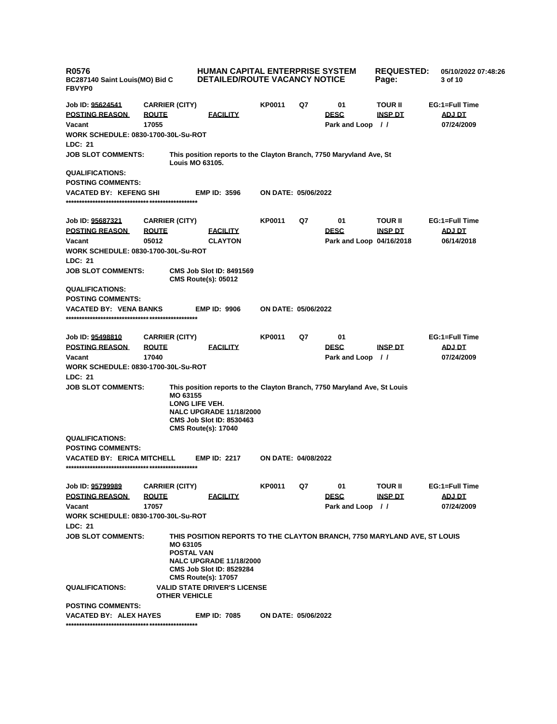| <b>R0576</b><br>BC287140 Saint Louis(MO) Bid C<br><b>FBVYP0</b> |                               | <b>HUMAN CAPITAL ENTERPRISE SYSTEM</b><br><b>DETAILED/ROUTE VACANCY NOTICE</b>                                                                                                                |                            |    |                          | <b>REQUESTED:</b><br>Page: | 05/10/2022 07:48:26<br>3 of 10 |
|-----------------------------------------------------------------|-------------------------------|-----------------------------------------------------------------------------------------------------------------------------------------------------------------------------------------------|----------------------------|----|--------------------------|----------------------------|--------------------------------|
| Job ID: 95624541                                                | <b>CARRIER (CITY)</b>         |                                                                                                                                                                                               | KP0011                     | Q7 | 01                       | TOUR II                    | EG:1=Full Time                 |
| <b>POSTING REASON</b>                                           | <b>ROUTE</b>                  | <b>EACILITY</b>                                                                                                                                                                               |                            |    | <b>DESC</b>              | <b>INSP DT</b>             | ADJ DT                         |
| Vacant                                                          | 17055                         |                                                                                                                                                                                               |                            |    | Park and Loop //         |                            | 07/24/2009                     |
| <b>WORK SCHEDULE: 0830-1700-30L-Su-ROT</b>                      |                               |                                                                                                                                                                                               |                            |    |                          |                            |                                |
| <b>LDC: 21</b>                                                  |                               |                                                                                                                                                                                               |                            |    |                          |                            |                                |
| <b>JOB SLOT COMMENTS:</b>                                       |                               | This position reports to the Clayton Branch, 7750 Maryvland Ave, St<br><b>Louis MO 63105.</b>                                                                                                 |                            |    |                          |                            |                                |
| <b>QUALIFICATIONS:</b>                                          |                               |                                                                                                                                                                                               |                            |    |                          |                            |                                |
| <b>POSTING COMMENTS:</b>                                        |                               |                                                                                                                                                                                               |                            |    |                          |                            |                                |
| <b>VACATED BY: KEFENG SHI</b>                                   |                               | <b>EMP ID: 3596</b>                                                                                                                                                                           | <b>ON DATE: 05/06/2022</b> |    |                          |                            |                                |
| Job ID: 95687321                                                | <b>CARRIER (CITY)</b>         |                                                                                                                                                                                               | <b>KP0011</b>              | Q7 | 01                       | TOUR II                    | EG:1=Full Time                 |
| <b>POSTING REASON</b>                                           | <b>ROUTE</b>                  | <b>FACILITY</b>                                                                                                                                                                               |                            |    | <b>DESC</b>              | <u>INSP DT</u>             | <b>ADJ DT</b>                  |
| Vacant                                                          | 05012                         | <b>CLAYTON</b>                                                                                                                                                                                |                            |    | Park and Loop 04/16/2018 |                            | 06/14/2018                     |
| <b>WORK SCHEDULE: 0830-1700-30L-Su-ROT</b>                      |                               |                                                                                                                                                                                               |                            |    |                          |                            |                                |
| LDC: 21                                                         |                               |                                                                                                                                                                                               |                            |    |                          |                            |                                |
| <b>JOB SLOT COMMENTS:</b>                                       |                               | <b>CMS Job Slot ID: 8491569</b><br><b>CMS Route(s): 05012</b>                                                                                                                                 |                            |    |                          |                            |                                |
| <b>QUALIFICATIONS:</b>                                          |                               |                                                                                                                                                                                               |                            |    |                          |                            |                                |
| <b>POSTING COMMENTS:</b>                                        |                               | <b>EMP ID: 9906</b>                                                                                                                                                                           |                            |    |                          |                            |                                |
| <b>VACATED BY: VENA BANKS</b>                                   |                               |                                                                                                                                                                                               | <b>ON DATE: 05/06/2022</b> |    |                          |                            |                                |
| Job ID: 95498810                                                | <b>CARRIER (CITY)</b>         |                                                                                                                                                                                               | KP0011                     | Q7 | 01                       |                            | EG:1=Full Time                 |
| <b>POSTING REASON</b>                                           | <b>ROUTE</b>                  | <b>FACILITY</b>                                                                                                                                                                               |                            |    | <b>DESC</b>              | <u>INSP DT</u>             | <b>ADJ DT</b>                  |
| Vacant                                                          | 17040                         |                                                                                                                                                                                               |                            |    | Park and Loop //         |                            | 07/24/2009                     |
| <b>WORK SCHEDULE: 0830-1700-30L-Su-ROT</b>                      |                               |                                                                                                                                                                                               |                            |    |                          |                            |                                |
| LDC: 21                                                         |                               |                                                                                                                                                                                               |                            |    |                          |                            |                                |
| <b>JOB SLOT COMMENTS:</b>                                       | MO 63155                      | This position reports to the Clayton Branch, 7750 Maryland Ave, St Louis<br>LONG LIFE VEH.<br><b>NALC UPGRADE 11/18/2000</b><br><b>CMS Job Slot ID: 8530463</b><br><b>CMS Route(s): 17040</b> |                            |    |                          |                            |                                |
| <b>QUALIFICATIONS:</b>                                          |                               |                                                                                                                                                                                               |                            |    |                          |                            |                                |
| <b>POSTING COMMENTS:</b>                                        |                               |                                                                                                                                                                                               |                            |    |                          |                            |                                |
| <b>VACATED BY: ERICA MITCHELL</b>                               |                               | <b>EMP ID: 2217</b>                                                                                                                                                                           | <b>ON DATE: 04/08/2022</b> |    |                          |                            |                                |
| Job ID: 95799989                                                | <b>CARRIER (CITY)</b>         |                                                                                                                                                                                               | <b>KP0011</b>              | Q7 | 01                       | TOUR II                    | EG:1=Full Time                 |
| <b>POSTING REASON</b>                                           | <b>ROUTE</b>                  | <b>EACILITY</b>                                                                                                                                                                               |                            |    | <b>DESC</b>              | <b>INSP DT</b>             | ADJ DT                         |
| Vacant                                                          | 17057                         |                                                                                                                                                                                               |                            |    | Park and Loop //         |                            | 07/24/2009                     |
| <b>WORK SCHEDULE: 0830-1700-30L-Su-ROT</b>                      |                               |                                                                                                                                                                                               |                            |    |                          |                            |                                |
| LDC: 21                                                         |                               |                                                                                                                                                                                               |                            |    |                          |                            |                                |
| <b>JOB SLOT COMMENTS:</b>                                       | MO 63105<br><b>POSTAL VAN</b> | THIS POSITION REPORTS TO THE CLAYTON BRANCH, 7750 MARYLAND AVE, ST LOUIS<br><b>NALC UPGRADE 11/18/2000</b><br><b>CMS Job Slot ID: 8529284</b><br><b>CMS Route(s): 17057</b>                   |                            |    |                          |                            |                                |
| <b>QUALIFICATIONS:</b>                                          | <b>OTHER VEHICLE</b>          | <b>VALID STATE DRIVER'S LICENSE</b>                                                                                                                                                           |                            |    |                          |                            |                                |
| <b>POSTING COMMENTS:</b>                                        |                               |                                                                                                                                                                                               |                            |    |                          |                            |                                |
| VACATED BY: ALEX HAYES                                          |                               | <b>EMP ID: 7085</b>                                                                                                                                                                           | ON DATE: 05/06/2022        |    |                          |                            |                                |
|                                                                 |                               |                                                                                                                                                                                               |                            |    |                          |                            |                                |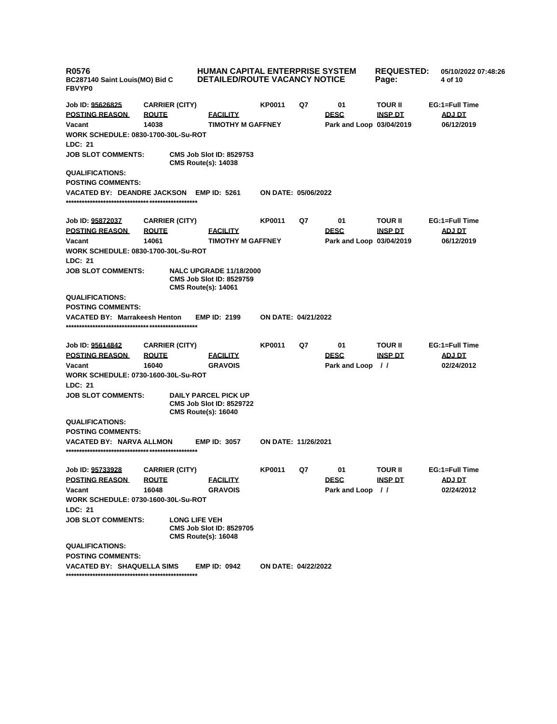| <b>HUMAN CAPITAL ENTERPRISE SYSTEM</b><br>R0576<br><b>DETAILED/ROUTE VACANCY NOTICE</b><br>BC287140 Saint Louis(MO) Bid C<br><b>FBVYP0</b> |                       |                                                                                                 |                            |    |                          | <b>REQUESTED:</b><br>Page: | 05/10/2022 07:48:26<br>4 of 10 |
|--------------------------------------------------------------------------------------------------------------------------------------------|-----------------------|-------------------------------------------------------------------------------------------------|----------------------------|----|--------------------------|----------------------------|--------------------------------|
| Job ID: 95626825                                                                                                                           | <b>CARRIER (CITY)</b> |                                                                                                 | KP0011                     | Q7 | 01                       | <b>TOUR II</b>             | EG:1=Full Time                 |
| <b>POSTING REASON</b>                                                                                                                      | <b>ROUTE</b>          | <b>EACILITY</b>                                                                                 |                            |    | <b>DESC</b>              | <b>INSP DT</b>             | <b>ADJ DT</b>                  |
| Vacant                                                                                                                                     | 14038                 | <b>TIMOTHY M GAFFNEY</b>                                                                        |                            |    | Park and Loop 03/04/2019 |                            | 06/12/2019                     |
| <b>WORK SCHEDULE: 0830-1700-30L-Su-ROT</b><br><b>LDC: 21</b>                                                                               |                       |                                                                                                 |                            |    |                          |                            |                                |
| <b>JOB SLOT COMMENTS:</b>                                                                                                                  |                       | <b>CMS Job Slot ID: 8529753</b><br><b>CMS Route(s): 14038</b>                                   |                            |    |                          |                            |                                |
| <b>QUALIFICATIONS:</b>                                                                                                                     |                       |                                                                                                 |                            |    |                          |                            |                                |
| <b>POSTING COMMENTS:</b>                                                                                                                   |                       |                                                                                                 |                            |    |                          |                            |                                |
| VACATED BY: DEANDRE JACKSON EMP ID: 5261                                                                                                   |                       |                                                                                                 | ON DATE: 05/06/2022        |    |                          |                            |                                |
| Job ID: 95872037                                                                                                                           | <b>CARRIER (CITY)</b> |                                                                                                 | KP0011                     | Q7 | 01                       | <b>TOUR II</b>             | EG:1=Full Time                 |
| <b>POSTING REASON</b>                                                                                                                      | <b>ROUTE</b>          | <b>FACILITY</b>                                                                                 |                            |    | <b>DESC</b>              | <u>INSP DT</u>             | <b>ADJ DT</b>                  |
| Vacant                                                                                                                                     | 14061                 | <b>TIMOTHY M GAFFNEY</b>                                                                        |                            |    | Park and Loop 03/04/2019 |                            | 06/12/2019                     |
| <b>WORK SCHEDULE: 0830-1700-30L-Su-ROT</b><br>LDC: 21                                                                                      |                       |                                                                                                 |                            |    |                          |                            |                                |
| <b>JOB SLOT COMMENTS:</b>                                                                                                                  |                       | <b>NALC UPGRADE 11/18/2000</b><br><b>CMS Job Slot ID: 8529759</b><br><b>CMS Route(s): 14061</b> |                            |    |                          |                            |                                |
| <b>QUALIFICATIONS:</b>                                                                                                                     |                       |                                                                                                 |                            |    |                          |                            |                                |
| <b>POSTING COMMENTS:</b>                                                                                                                   |                       |                                                                                                 |                            |    |                          |                            |                                |
| <b>VACATED BY: Marrakeesh Henton</b>                                                                                                       |                       | <b>EMP ID: 2199</b>                                                                             | <b>ON DATE: 04/21/2022</b> |    |                          |                            |                                |
| Job ID: 95614842                                                                                                                           | <b>CARRIER (CITY)</b> |                                                                                                 | <b>KP0011</b>              | Q7 | 01                       | <b>TOUR II</b>             | EG:1=Full Time                 |
| <b>POSTING REASON</b>                                                                                                                      | <b>ROUTE</b>          | <b>FACILITY</b>                                                                                 |                            |    | <b>DESC</b>              | <b>INSP DT</b>             | <b>ADJ DT</b>                  |
| Vacant                                                                                                                                     | 16040                 | <b>GRAVOIS</b>                                                                                  |                            |    | Park and Loop            | $\frac{1}{2}$              | 02/24/2012                     |
| <b>WORK SCHEDULE: 0730-1600-30L-Su-ROT</b><br>LDC: 21                                                                                      |                       |                                                                                                 |                            |    |                          |                            |                                |
| <b>JOB SLOT COMMENTS:</b>                                                                                                                  |                       | <b>DAILY PARCEL PICK UP</b><br><b>CMS Job Slot ID: 8529722</b><br><b>CMS Route(s): 16040</b>    |                            |    |                          |                            |                                |
| <b>QUALIFICATIONS:</b>                                                                                                                     |                       |                                                                                                 |                            |    |                          |                            |                                |
| <b>POSTING COMMENTS:</b>                                                                                                                   |                       |                                                                                                 |                            |    |                          |                            |                                |
| <b>VACATED BY: NARVA ALLMON</b>                                                                                                            |                       | <b>EMP ID: 3057</b>                                                                             | ON DATE: 11/26/2021        |    |                          |                            |                                |
| Job ID: 95733928                                                                                                                           | <b>CARRIER (CITY)</b> |                                                                                                 | KP0011                     | Q7 | 01                       | TOUR II                    | EG:1=Full Time                 |
| <b>POSTING REASON</b>                                                                                                                      | <b>ROUTE</b>          | <b>FACILITY</b>                                                                                 |                            |    | <b>DESC</b>              | <u>INSP DT</u>             | ADJ DT                         |
| Vacant                                                                                                                                     | 16048                 | <b>GRAVOIS</b>                                                                                  |                            |    | Park and Loop            | $\prime$                   | 02/24/2012                     |
| <b>WORK SCHEDULE: 0730-1600-30L-Su-ROT</b><br>LDC: 21                                                                                      |                       |                                                                                                 |                            |    |                          |                            |                                |
| <b>JOB SLOT COMMENTS:</b>                                                                                                                  |                       | <b>LONG LIFE VEH</b><br><b>CMS Job Slot ID: 8529705</b><br><b>CMS Route(s): 16048</b>           |                            |    |                          |                            |                                |
| <b>QUALIFICATIONS:</b><br><b>POSTING COMMENTS:</b>                                                                                         |                       |                                                                                                 |                            |    |                          |                            |                                |
| <b>VACATED BY: SHAQUELLA SIMS</b>                                                                                                          |                       | <b>EMP ID: 0942</b>                                                                             | <b>ON DATE: 04/22/2022</b> |    |                          |                            |                                |
|                                                                                                                                            |                       |                                                                                                 |                            |    |                          |                            |                                |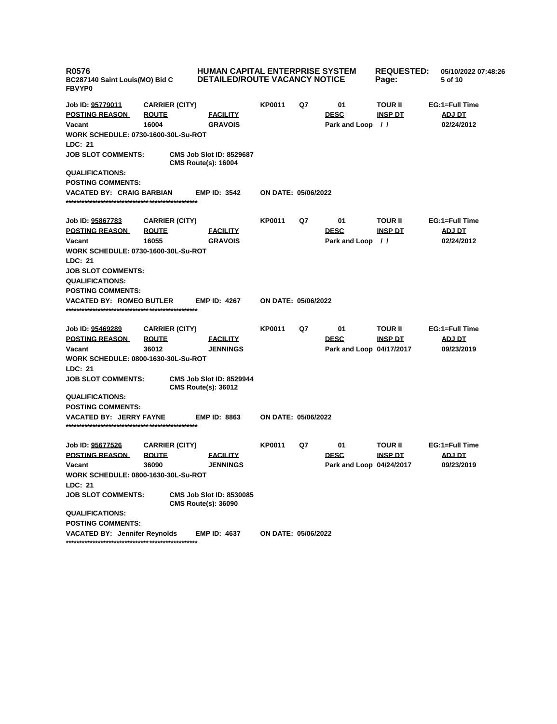| <b>R0576</b><br>BC287140 Saint Louis(MO) Bid C<br><b>FBVYP0</b> |                                                | <b>HUMAN CAPITAL ENTERPRISE SYSTEM</b><br><b>DETAILED/ROUTE VACANCY NOTICE</b> |                     |    |                                    | <b>REQUESTED:</b><br>Page:                   | 05/10/2022 07:48:26<br>5 of 10                |
|-----------------------------------------------------------------|------------------------------------------------|--------------------------------------------------------------------------------|---------------------|----|------------------------------------|----------------------------------------------|-----------------------------------------------|
| Job ID: 95779011<br><b>POSTING REASON</b><br>Vacant             | <b>CARRIER (CITY)</b><br><b>ROUTE</b><br>16004 | <b>FACILITY</b><br><b>GRAVOIS</b>                                              | KP0011              | Q7 | 01<br><b>DESC</b><br>Park and Loop | <b>TOUR II</b><br><b>INSP DT</b><br>$\prime$ | EG:1=Full Time<br><b>ADJ DT</b><br>02/24/2012 |
| <b>WORK SCHEDULE: 0730-1600-30L-Su-ROT</b><br>LDC: 21           |                                                |                                                                                |                     |    |                                    |                                              |                                               |
| <b>JOB SLOT COMMENTS:</b>                                       |                                                | <b>CMS Job Slot ID: 8529687</b><br><b>CMS Route(s): 16004</b>                  |                     |    |                                    |                                              |                                               |
| <b>QUALIFICATIONS:</b>                                          |                                                |                                                                                |                     |    |                                    |                                              |                                               |
| <b>POSTING COMMENTS:</b>                                        |                                                |                                                                                |                     |    |                                    |                                              |                                               |
| <b>VACATED BY: CRAIG BARBIAN</b>                                |                                                | <b>EMP ID: 3542</b>                                                            | ON DATE: 05/06/2022 |    |                                    |                                              |                                               |
| Job ID: 95867783                                                | <b>CARRIER (CITY)</b>                          |                                                                                | <b>KP0011</b>       | Q7 | 01                                 | <b>TOUR II</b>                               | EG:1=Full Time                                |
| <b>POSTING REASON</b>                                           | <b>ROUTE</b>                                   | <b>FACILITY</b>                                                                |                     |    | <b>DESC</b>                        | <u>INSP DT</u>                               | <u>ADJ DT</u>                                 |
| Vacant                                                          | 16055                                          | <b>GRAVOIS</b>                                                                 |                     |    | Park and Loop                      | $\prime$                                     | 02/24/2012                                    |
| <b>WORK SCHEDULE: 0730-1600-30L-Su-ROT</b>                      |                                                |                                                                                |                     |    |                                    |                                              |                                               |
| LDC: 21<br><b>JOB SLOT COMMENTS:</b>                            |                                                |                                                                                |                     |    |                                    |                                              |                                               |
| <b>QUALIFICATIONS:</b>                                          |                                                |                                                                                |                     |    |                                    |                                              |                                               |
| <b>POSTING COMMENTS:</b>                                        |                                                |                                                                                |                     |    |                                    |                                              |                                               |
| <b>VACATED BY: ROMEO BUTLER</b>                                 |                                                | <b>EMP ID: 4267</b>                                                            | ON DATE: 05/06/2022 |    |                                    |                                              |                                               |
| Job ID: 95469289                                                | <b>CARRIER (CITY)</b>                          |                                                                                | <b>KP0011</b>       | Q7 | 01                                 | <b>TOUR II</b>                               | EG:1=Full Time                                |
| <b>POSTING REASON</b>                                           | <b>ROUTE</b>                                   | <b>FACILITY</b>                                                                |                     |    | <b>DESC</b>                        | <u>INSP DT</u>                               | <b>ADJ DT</b>                                 |
| Vacant                                                          | 36012                                          | <b>JENNINGS</b>                                                                |                     |    | Park and Loop 04/17/2017           |                                              | 09/23/2019                                    |
| <b>WORK SCHEDULE: 0800-1630-30L-Su-ROT</b>                      |                                                |                                                                                |                     |    |                                    |                                              |                                               |
| LDC: 21                                                         |                                                |                                                                                |                     |    |                                    |                                              |                                               |
| <b>JOB SLOT COMMENTS:</b>                                       |                                                | <b>CMS Job Slot ID: 8529944</b><br><b>CMS Route(s): 36012</b>                  |                     |    |                                    |                                              |                                               |
| <b>QUALIFICATIONS:</b>                                          |                                                |                                                                                |                     |    |                                    |                                              |                                               |
| <b>POSTING COMMENTS:</b>                                        |                                                |                                                                                |                     |    |                                    |                                              |                                               |
| <b>VACATED BY: JERRY FAYNE</b>                                  |                                                | <b>EMP ID: 8863</b>                                                            | ON DATE: 05/06/2022 |    |                                    |                                              |                                               |
| Job ID: 95677526                                                | <b>CARRIER (CITY)</b>                          |                                                                                | KP0011              | Q7 | 01                                 | <b>TOUR II</b>                               | EG:1=Full Time                                |
| <b>POSTING REASON</b>                                           | <b>ROUTE</b>                                   | <b>EACILITY</b>                                                                |                     |    | <b>DESC</b>                        | <b>INSP DT</b>                               | <b>ADJ DT</b>                                 |
| Vacant                                                          | 36090                                          | <b>JENNINGS</b>                                                                |                     |    | Park and Loop 04/24/2017           |                                              | 09/23/2019                                    |
| WORK SCHEDULE: 0800-1630-30L-Su-ROT<br>LDC: 21                  |                                                |                                                                                |                     |    |                                    |                                              |                                               |
| <b>JOB SLOT COMMENTS:</b>                                       |                                                | <b>CMS Job Slot ID: 8530085</b><br><b>CMS Route(s): 36090</b>                  |                     |    |                                    |                                              |                                               |
| <b>QUALIFICATIONS:</b><br><b>POSTING COMMENTS:</b>              |                                                |                                                                                |                     |    |                                    |                                              |                                               |
| <b>VACATED BY: Jennifer Reynolds</b>                            |                                                | <b>EMP ID: 4637</b>                                                            | ON DATE: 05/06/2022 |    |                                    |                                              |                                               |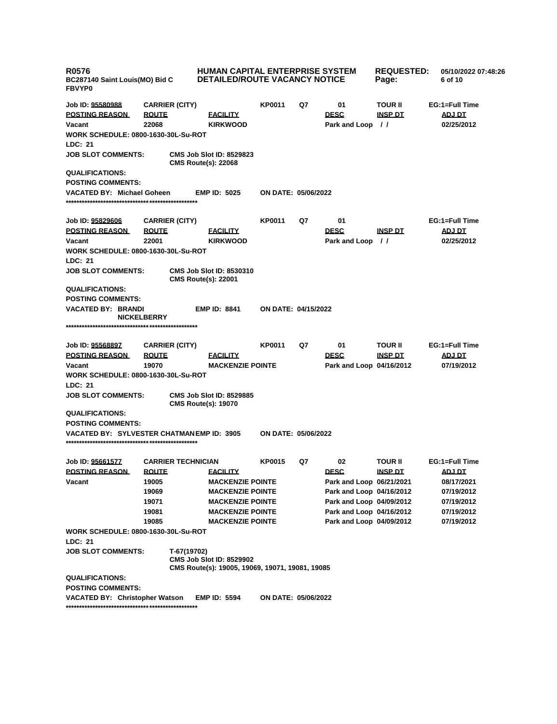| <b>R0576</b><br><b>FBVYP0</b>                         | <b>HUMAN CAPITAL ENTERPRISE SYSTEM</b><br><b>DETAILED/ROUTE VACANCY NOTICE</b><br>BC287140 Saint Louis(MO) Bid C |                                                               |                     | <b>REQUESTED:</b><br>Page: | 05/10/2022 07:48:26<br>6 of 10 |                |                |
|-------------------------------------------------------|------------------------------------------------------------------------------------------------------------------|---------------------------------------------------------------|---------------------|----------------------------|--------------------------------|----------------|----------------|
| Job ID: 95580988                                      | <b>CARRIER (CITY)</b>                                                                                            |                                                               | KP0011              | Q7                         | 01                             | <b>TOUR II</b> | EG:1=Full Time |
| <b>POSTING REASON</b>                                 | <b>ROUTE</b>                                                                                                     | <b>FACILITY</b>                                               |                     |                            | <b>DESC</b>                    | <b>INSP DT</b> | <b>ADJ DT</b>  |
| Vacant                                                | 22068                                                                                                            | <b>KIRKWOOD</b>                                               |                     |                            | Park and Loop                  | $\frac{1}{2}$  | 02/25/2012     |
| WORK SCHEDULE: 0800-1630-30L-Su-ROT                   |                                                                                                                  |                                                               |                     |                            |                                |                |                |
| LDC: 21                                               |                                                                                                                  |                                                               |                     |                            |                                |                |                |
| <b>JOB SLOT COMMENTS:</b>                             |                                                                                                                  | <b>CMS Job Slot ID: 8529823</b><br><b>CMS Route(s): 22068</b> |                     |                            |                                |                |                |
| <b>QUALIFICATIONS:</b>                                |                                                                                                                  |                                                               |                     |                            |                                |                |                |
| <b>POSTING COMMENTS:</b>                              |                                                                                                                  |                                                               |                     |                            |                                |                |                |
| VACATED BY: Michael Goheen                            |                                                                                                                  | <b>EMP ID: 5025</b>                                           | ON DATE: 05/06/2022 |                            |                                |                |                |
|                                                       |                                                                                                                  |                                                               |                     |                            |                                |                |                |
| Job ID: <u>95829606</u>                               | <b>CARRIER (CITY)</b>                                                                                            |                                                               | <b>KP0011</b>       | Q7                         | 01                             |                | EG:1=Full Time |
| <u>POSTING REASON</u>                                 | <b>ROUTE</b>                                                                                                     | <b>FACILITY</b>                                               |                     |                            | <b>DESC</b>                    | <u>INSP DT</u> | <u>ADJ DT</u>  |
| Vacant                                                | 22001                                                                                                            | <b>KIRKWOOD</b>                                               |                     |                            | Park and Loop                  | $\frac{1}{2}$  | 02/25/2012     |
| WORK SCHEDULE: 0800-1630-30L-Su-ROT                   |                                                                                                                  |                                                               |                     |                            |                                |                |                |
| <b>LDC: 21</b>                                        |                                                                                                                  |                                                               |                     |                            |                                |                |                |
| <b>JOB SLOT COMMENTS:</b>                             |                                                                                                                  | <b>CMS Job Slot ID: 8530310</b><br><b>CMS Route(s): 22001</b> |                     |                            |                                |                |                |
| <b>QUALIFICATIONS:</b>                                |                                                                                                                  |                                                               |                     |                            |                                |                |                |
| <b>POSTING COMMENTS:</b>                              |                                                                                                                  |                                                               |                     |                            |                                |                |                |
| VACATED BY: BRANDI                                    |                                                                                                                  | <b>EMP ID: 8841</b>                                           | ON DATE: 04/15/2022 |                            |                                |                |                |
|                                                       | <b>NICKELBERRY</b>                                                                                               |                                                               |                     |                            |                                |                |                |
|                                                       |                                                                                                                  |                                                               |                     |                            |                                |                |                |
| Job ID: 95568897                                      | <b>CARRIER (CITY)</b>                                                                                            |                                                               | <b>KP0011</b>       | Q7                         | 01                             | <b>TOUR II</b> | EG:1=Full Time |
| <b>POSTING REASON</b>                                 | <b>ROUTE</b>                                                                                                     | <b>FACILITY</b>                                               |                     |                            | <b>DESC</b>                    | <b>INSP DT</b> | <b>ADJ DT</b>  |
| Vacant                                                | 19070                                                                                                            | <b>MACKENZIE POINTE</b>                                       |                     |                            | Park and Loop 04/16/2012       |                | 07/19/2012     |
| WORK SCHEDULE: 0800-1630-30L-Su-ROT                   |                                                                                                                  |                                                               |                     |                            |                                |                |                |
| <b>LDC: 21</b>                                        |                                                                                                                  |                                                               |                     |                            |                                |                |                |
| <b>JOB SLOT COMMENTS:</b>                             |                                                                                                                  | <b>CMS Job Slot ID: 8529885</b><br><b>CMS Route(s): 19070</b> |                     |                            |                                |                |                |
| <b>QUALIFICATIONS:</b>                                |                                                                                                                  |                                                               |                     |                            |                                |                |                |
| <b>POSTING COMMENTS:</b>                              |                                                                                                                  |                                                               |                     |                            |                                |                |                |
| VACATED BY: SYLVESTER CHATMAN EMP ID: 3905            |                                                                                                                  |                                                               | ON DATE: 05/06/2022 |                            |                                |                |                |
|                                                       |                                                                                                                  |                                                               |                     |                            |                                |                |                |
| Job ID: 95661577                                      | <b>CARRIER TECHNICIAN</b>                                                                                        |                                                               | <b>KP0015</b>       | Q7                         | 02                             | <b>TOUR II</b> | EG:1=Full Time |
| <b>POSTING REASON</b>                                 | <b>ROUTE</b>                                                                                                     | <b>FACILITY</b>                                               |                     |                            | <b>DESC</b>                    | <b>INSP DT</b> | <u>ADJ DT</u>  |
| Vacant                                                | 19005                                                                                                            | <b>MACKENZIE POINTE</b>                                       |                     |                            | Park and Loop 06/21/2021       |                | 08/17/2021     |
|                                                       | 19069                                                                                                            | <b>MACKENZIE POINTE</b>                                       |                     |                            | Park and Loop 04/16/2012       |                | 07/19/2012     |
|                                                       | 19071                                                                                                            | <b>MACKENZIE POINTE</b>                                       |                     |                            | Park and Loop 04/09/2012       |                | 07/19/2012     |
|                                                       | 19081                                                                                                            | <b>MACKENZIE POINTE</b>                                       |                     |                            | Park and Loop 04/16/2012       |                | 07/19/2012     |
|                                                       | 19085                                                                                                            | <b>MACKENZIE POINTE</b>                                       |                     |                            | Park and Loop 04/09/2012       |                | 07/19/2012     |
| <b>WORK SCHEDULE: 0800-1630-30L-Su-ROT</b><br>LDC: 21 |                                                                                                                  |                                                               |                     |                            |                                |                |                |
| <b>JOB SLOT COMMENTS:</b>                             | T-67(19702)                                                                                                      | <b>CMS Job Slot ID: 8529902</b>                               |                     |                            |                                |                |                |
|                                                       |                                                                                                                  | CMS Route(s): 19005, 19069, 19071, 19081, 19085               |                     |                            |                                |                |                |
| <b>QUALIFICATIONS:</b>                                |                                                                                                                  |                                                               |                     |                            |                                |                |                |
| <b>POSTING COMMENTS:</b>                              |                                                                                                                  | <b>EMP ID: 5594</b>                                           | ON DATE: 05/06/2022 |                            |                                |                |                |
| VACATED BY: Christopher Watson                        |                                                                                                                  |                                                               |                     |                            |                                |                |                |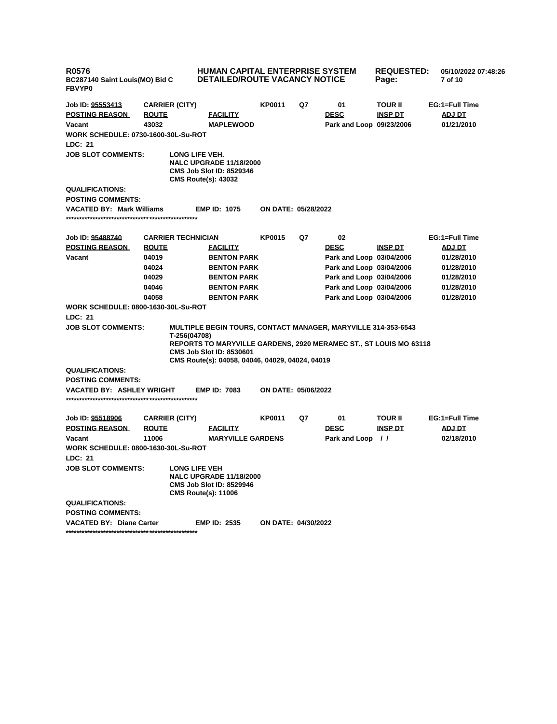| R0576<br>BC287140 Saint Louis(MO) Bid C<br><b>FBVYP0</b> |                           | <b>HUMAN CAPITAL ENTERPRISE SYSTEM</b><br><b>DETAILED/ROUTE VACANCY NOTICE</b>                                                                                                                                                         |                            |    |                          | <b>REQUESTED:</b><br>05/10/2022 07:48:26<br>7 of 10 |                |
|----------------------------------------------------------|---------------------------|----------------------------------------------------------------------------------------------------------------------------------------------------------------------------------------------------------------------------------------|----------------------------|----|--------------------------|-----------------------------------------------------|----------------|
| Job ID: 95553413                                         | <b>CARRIER (CITY)</b>     |                                                                                                                                                                                                                                        | <b>KP0011</b>              | Q7 | 01                       | <b>TOUR II</b>                                      | EG:1=Full Time |
| <b>POSTING REASON</b>                                    | <b>ROUTE</b>              | <b>FACILITY</b>                                                                                                                                                                                                                        |                            |    | <b>DESC</b>              | <b>INSP DT</b>                                      | ADJ DT         |
| Vacant                                                   | 43032                     | <b>MAPLEWOOD</b>                                                                                                                                                                                                                       |                            |    | Park and Loop 09/23/2006 |                                                     | 01/21/2010     |
| <b>WORK SCHEDULE: 0730-1600-30L-Su-ROT</b>               |                           |                                                                                                                                                                                                                                        |                            |    |                          |                                                     |                |
| LDC: 21                                                  |                           |                                                                                                                                                                                                                                        |                            |    |                          |                                                     |                |
| <b>JOB SLOT COMMENTS:</b>                                |                           | LONG LIFE VEH.<br><b>NALC UPGRADE 11/18/2000</b><br><b>CMS Job Slot ID: 8529346</b><br><b>CMS Route(s): 43032</b>                                                                                                                      |                            |    |                          |                                                     |                |
| <b>QUALIFICATIONS:</b>                                   |                           |                                                                                                                                                                                                                                        |                            |    |                          |                                                     |                |
| <b>POSTING COMMENTS:</b>                                 |                           |                                                                                                                                                                                                                                        |                            |    |                          |                                                     |                |
| <b>VACATED BY: Mark Williams</b>                         |                           | <b>EMP ID: 1075</b>                                                                                                                                                                                                                    | ON DATE: 05/28/2022        |    |                          |                                                     |                |
| Job ID: 95488740                                         | <b>CARRIER TECHNICIAN</b> |                                                                                                                                                                                                                                        | <b>KP0015</b>              | Q7 | 02                       |                                                     | EG:1=Full Time |
| <b>POSTING REASON</b>                                    | <b>ROUTE</b>              | <b>FACILITY</b>                                                                                                                                                                                                                        |                            |    | <b>DESC</b>              | <b>INSP DT</b>                                      | <b>ADJ DT</b>  |
| Vacant                                                   | 04019                     | <b>BENTON PARK</b>                                                                                                                                                                                                                     |                            |    | Park and Loop 03/04/2006 |                                                     | 01/28/2010     |
|                                                          | 04024                     | <b>BENTON PARK</b>                                                                                                                                                                                                                     |                            |    | Park and Loop 03/04/2006 |                                                     | 01/28/2010     |
|                                                          | 04029                     | <b>BENTON PARK</b>                                                                                                                                                                                                                     |                            |    | Park and Loop 03/04/2006 |                                                     | 01/28/2010     |
|                                                          | 04046                     | <b>BENTON PARK</b>                                                                                                                                                                                                                     |                            |    | Park and Loop 03/04/2006 |                                                     | 01/28/2010     |
|                                                          | 04058                     | <b>BENTON PARK</b>                                                                                                                                                                                                                     |                            |    | Park and Loop 03/04/2006 |                                                     | 01/28/2010     |
| <b>WORK SCHEDULE: 0800-1630-30L-Su-ROT</b><br>LDC: 21    |                           |                                                                                                                                                                                                                                        |                            |    |                          |                                                     |                |
| <b>JOB SLOT COMMENTS:</b>                                | T-256(04708)              | <b>MULTIPLE BEGIN TOURS, CONTACT MANAGER, MARYVILLE 314-353-6543</b><br><b>REPORTS TO MARYVILLE GARDENS, 2920 MERAMEC ST., ST LOUIS MO 63118</b><br><b>CMS Job Slot ID: 8530601</b><br>CMS Route(s): 04058, 04046, 04029, 04024, 04019 |                            |    |                          |                                                     |                |
| <b>QUALIFICATIONS:</b>                                   |                           |                                                                                                                                                                                                                                        |                            |    |                          |                                                     |                |
| <b>POSTING COMMENTS:</b>                                 |                           |                                                                                                                                                                                                                                        |                            |    |                          |                                                     |                |
| VACATED BY: ASHLEY WRIGHT                                |                           | <b>EMP ID: 7083</b>                                                                                                                                                                                                                    | <b>ON DATE: 05/06/2022</b> |    |                          |                                                     |                |
| Job ID: 95518906                                         | <b>CARRIER (CITY)</b>     |                                                                                                                                                                                                                                        | <b>KP0011</b>              | Q7 | 01                       | <b>TOUR II</b>                                      | EG:1=Full Time |
| <b>POSTING REASON</b>                                    | <b>ROUTE</b>              | <b>FACILITY</b>                                                                                                                                                                                                                        |                            |    | <b>DESC</b>              | <b>INSP DT</b>                                      | <b>ADJ DT</b>  |
| Vacant                                                   | 11006                     | <b>MARYVILLE GARDENS</b>                                                                                                                                                                                                               |                            |    | Park and Loop //         |                                                     | 02/18/2010     |
| WORK SCHEDULE: 0800-1630-30L-Su-ROT                      |                           |                                                                                                                                                                                                                                        |                            |    |                          |                                                     |                |
| LDC: 21                                                  |                           |                                                                                                                                                                                                                                        |                            |    |                          |                                                     |                |
| <b>JOB SLOT COMMENTS:</b>                                |                           | <b>LONG LIFE VEH</b><br><b>NALC UPGRADE 11/18/2000</b><br><b>CMS Job Slot ID: 8529946</b><br><b>CMS Route(s): 11006</b>                                                                                                                |                            |    |                          |                                                     |                |
| <b>QUALIFICATIONS:</b>                                   |                           |                                                                                                                                                                                                                                        |                            |    |                          |                                                     |                |
| <b>POSTING COMMENTS:</b>                                 |                           |                                                                                                                                                                                                                                        |                            |    |                          |                                                     |                |
| <b>VACATED BY: Diane Carter</b>                          |                           | <b>EMP ID: 2535</b>                                                                                                                                                                                                                    | ON DATE: 04/30/2022        |    |                          |                                                     |                |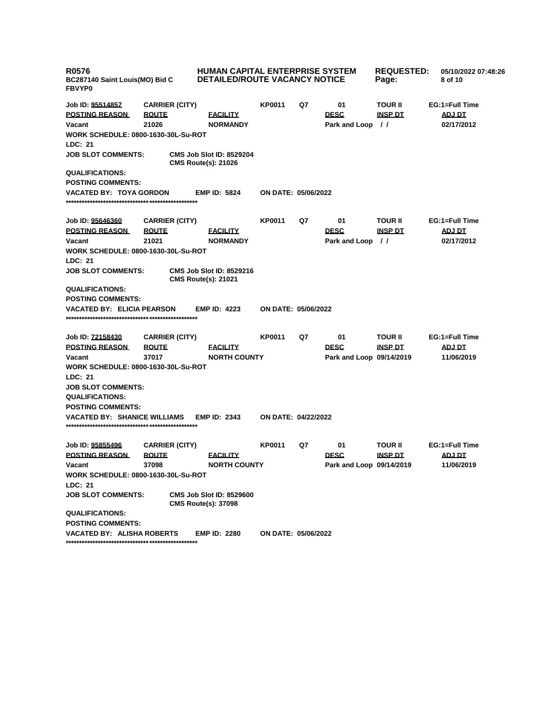| <b>R0576</b><br>BC287140 Saint Louis(MO) Bid C<br><b>FBVYP0</b>                                   |                                                | HUMAN CAPITAL ENTERPRISE SYSTEM<br>DETAILED/ROUTE VACANCY NOTICE |                            |    |                                         | <b>REQUESTED:</b><br>Page:       | 05/10/2022 07:48:26<br>8 of 10         |
|---------------------------------------------------------------------------------------------------|------------------------------------------------|------------------------------------------------------------------|----------------------------|----|-----------------------------------------|----------------------------------|----------------------------------------|
| Job ID: 95514857<br><b>POSTING REASON</b><br>Vacant<br><b>WORK SCHEDULE: 0800-1630-30L-Su-ROT</b> | <b>CARRIER (CITY)</b><br><b>ROUTE</b><br>21026 | <b>FACILITY</b><br><b>NORMANDY</b>                               | <b>KP0011</b>              | Q7 | 01<br><b>DESC</b><br>Park and Loop //   | <b>TOUR II</b><br><b>INSP DT</b> | EG:1=Full Time<br>ADJ DT<br>02/17/2012 |
| <b>LDC: 21</b>                                                                                    |                                                |                                                                  |                            |    |                                         |                                  |                                        |
| <b>JOB SLOT COMMENTS:</b>                                                                         |                                                | <b>CMS Job Slot ID: 8529204</b><br><b>CMS Route(s): 21026</b>    |                            |    |                                         |                                  |                                        |
| <b>QUALIFICATIONS:</b><br><b>POSTING COMMENTS:</b>                                                |                                                |                                                                  |                            |    |                                         |                                  |                                        |
| <b>VACATED BY: TOYA GORDON</b>                                                                    |                                                | <b>EMP ID: 5824</b>                                              | ON DATE: 05/06/2022        |    |                                         |                                  |                                        |
| Job ID: 95646360                                                                                  | <b>CARRIER (CITY)</b>                          |                                                                  | <b>KP0011</b>              | Q7 | 01                                      | <b>TOUR II</b>                   | EG:1=Full Time                         |
| <b>POSTING REASON</b>                                                                             | <b>ROUTE</b>                                   | <u>FACILITY</u>                                                  |                            |    | <b>DESC</b>                             | <b>INSP DT</b>                   | <b>ADJ DT</b>                          |
| Vacant                                                                                            | 21021                                          | <b>NORMANDY</b>                                                  |                            |    | Park and Loop //                        |                                  | 02/17/2012                             |
| <b>WORK SCHEDULE: 0800-1630-30L-Su-ROT</b><br>LDC: 21                                             |                                                |                                                                  |                            |    |                                         |                                  |                                        |
| <b>JOB SLOT COMMENTS:</b>                                                                         |                                                | <b>CMS Job Slot ID: 8529216</b><br><b>CMS Route(s): 21021</b>    |                            |    |                                         |                                  |                                        |
| <b>QUALIFICATIONS:</b><br><b>POSTING COMMENTS:</b>                                                |                                                |                                                                  |                            |    |                                         |                                  |                                        |
| <b>VACATED BY: ELICIA PEARSON</b>                                                                 |                                                | <b>EMP ID: 4223</b>                                              | ON DATE: 05/06/2022        |    |                                         |                                  |                                        |
| Job ID: 72158430                                                                                  | <b>CARRIER (CITY)</b>                          |                                                                  | <b>KP0011</b>              | Q7 | 01                                      | <b>TOUR II</b>                   | EG:1=Full Time                         |
| <b>POSTING REASON</b><br>Vacant                                                                   | <b>ROUTE</b><br>37017                          | <u>FACILITY</u><br><b>NORTH COUNTY</b>                           |                            |    | <b>DESC</b><br>Park and Loop 09/14/2019 | <b>INSP DT</b>                   | <b>ADJ DT</b><br>11/06/2019            |
| <b>WORK SCHEDULE: 0800-1630-30L-Su-ROT</b>                                                        |                                                |                                                                  |                            |    |                                         |                                  |                                        |
| LDC: 21                                                                                           |                                                |                                                                  |                            |    |                                         |                                  |                                        |
| <b>JOB SLOT COMMENTS:</b><br><b>QUALIFICATIONS:</b>                                               |                                                |                                                                  |                            |    |                                         |                                  |                                        |
| <b>POSTING COMMENTS:</b>                                                                          |                                                |                                                                  |                            |    |                                         |                                  |                                        |
| <b>VACATED BY: SHANICE WILLIAMS</b>                                                               |                                                | <b>EMP ID: 2343</b>                                              | <b>ON DATE: 04/22/2022</b> |    |                                         |                                  |                                        |
| Job ID: 95855496                                                                                  | <b>CARRIER (CITY)</b>                          |                                                                  | <b>KP0011</b>              | Q7 | 01                                      | <b>TOUR II</b>                   | EG:1=Full Time                         |
| <b>POSTING REASON</b>                                                                             | <b>ROUTE</b>                                   | <u>FACILITY</u>                                                  |                            |    | <b>DESC</b>                             | <b>INSP DT</b>                   | <b>ADJ DT</b>                          |
| Vacant                                                                                            | 37098                                          | <b>NORTH COUNTY</b>                                              |                            |    | Park and Loop 09/14/2019                |                                  | 11/06/2019                             |
| WORK SCHEDULE: 0800-1630-30L-Su-ROT<br>LDC: 21                                                    |                                                |                                                                  |                            |    |                                         |                                  |                                        |
| <b>JOB SLOT COMMENTS:</b>                                                                         |                                                | <b>CMS Job Slot ID: 8529600</b><br><b>CMS Route(s): 37098</b>    |                            |    |                                         |                                  |                                        |
| <b>QUALIFICATIONS:</b><br><b>POSTING COMMENTS:</b>                                                |                                                |                                                                  |                            |    |                                         |                                  |                                        |
| <b>VACATED BY: ALISHA ROBERTS</b>                                                                 |                                                | <b>EMP ID: 2280</b>                                              | ON DATE: 05/06/2022        |    |                                         |                                  |                                        |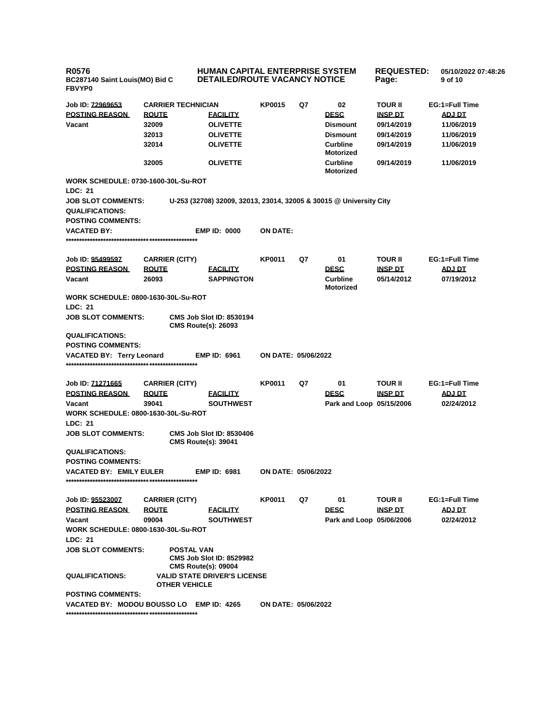| <b>R0576</b><br>BC287140 Saint Louis(MO) Bid C<br>FBVYP0 |                                                                               | <b>HUMAN CAPITAL ENTERPRISE SYSTEM</b><br><b>DETAILED/ROUTE VACANCY NOTICE</b>              |                     |    |                                                                                                            | <b>REQUESTED:</b><br>Page:                                                               | 05/10/2022 07:48:26<br>9 of 10                                                          |
|----------------------------------------------------------|-------------------------------------------------------------------------------|---------------------------------------------------------------------------------------------|---------------------|----|------------------------------------------------------------------------------------------------------------|------------------------------------------------------------------------------------------|-----------------------------------------------------------------------------------------|
| Job ID: 72969653<br><b>POSTING REASON</b><br>Vacant      | <b>CARRIER TECHNICIAN</b><br><b>ROUTE</b><br>32009<br>32013<br>32014<br>32005 | <b>FACILITY</b><br><b>OLIVETTE</b><br><b>OLIVETTE</b><br><b>OLIVETTE</b><br><b>OLIVETTE</b> | <b>KP0015</b>       | Q7 | 02<br><b>DESC</b><br><b>Dismount</b><br><b>Dismount</b><br><b>Curbline</b><br>Motorized<br><b>Curbline</b> | <b>TOUR II</b><br><b>INSP DT</b><br>09/14/2019<br>09/14/2019<br>09/14/2019<br>09/14/2019 | EG:1=Full Time<br><b>ADJ DT</b><br>11/06/2019<br>11/06/2019<br>11/06/2019<br>11/06/2019 |
| <b>WORK SCHEDULE: 0730-1600-30L-Su-ROT</b>               |                                                                               |                                                                                             |                     |    | <b>Motorized</b>                                                                                           |                                                                                          |                                                                                         |
| LDC: 21                                                  |                                                                               |                                                                                             |                     |    |                                                                                                            |                                                                                          |                                                                                         |
| <b>JOB SLOT COMMENTS:</b><br><b>QUALIFICATIONS:</b>      |                                                                               | U-253 (32708) 32009, 32013, 23014, 32005 & 30015 @ University City                          |                     |    |                                                                                                            |                                                                                          |                                                                                         |
| <b>POSTING COMMENTS:</b>                                 |                                                                               |                                                                                             |                     |    |                                                                                                            |                                                                                          |                                                                                         |
| <b>VACATED BY:</b>                                       |                                                                               | <b>EMP ID: 0000</b>                                                                         | <b>ON DATE:</b>     |    |                                                                                                            |                                                                                          |                                                                                         |
| Job ID: 95499597                                         | <b>CARRIER (CITY)</b>                                                         |                                                                                             | <b>KP0011</b>       | Q7 | 01                                                                                                         | <b>TOUR II</b>                                                                           | EG:1=Full Time                                                                          |
| <b>POSTING REASON</b>                                    | <b>ROUTE</b>                                                                  | <b>FACILITY</b>                                                                             |                     |    | <b>DESC</b>                                                                                                | <b>INSP DT</b>                                                                           | <b>ADJ DT</b>                                                                           |
| Vacant                                                   | 26093                                                                         | <b>SAPPINGTON</b>                                                                           |                     |    | <b>Curbline</b><br>Motorized                                                                               | 05/14/2012                                                                               | 07/19/2012                                                                              |
| <b>WORK SCHEDULE: 0800-1630-30L-Su-ROT</b>               |                                                                               |                                                                                             |                     |    |                                                                                                            |                                                                                          |                                                                                         |
| <b>LDC: 21</b>                                           |                                                                               |                                                                                             |                     |    |                                                                                                            |                                                                                          |                                                                                         |
| <b>JOB SLOT COMMENTS:</b>                                |                                                                               | <b>CMS Job Slot ID: 8530194</b><br><b>CMS Route(s): 26093</b>                               |                     |    |                                                                                                            |                                                                                          |                                                                                         |
| <b>QUALIFICATIONS:</b>                                   |                                                                               |                                                                                             |                     |    |                                                                                                            |                                                                                          |                                                                                         |
| <b>POSTING COMMENTS:</b>                                 |                                                                               |                                                                                             |                     |    |                                                                                                            |                                                                                          |                                                                                         |
| <b>VACATED BY: Terry Leonard</b>                         |                                                                               | <b>EMP ID: 6961</b>                                                                         | ON DATE: 05/06/2022 |    |                                                                                                            |                                                                                          |                                                                                         |
|                                                          |                                                                               |                                                                                             |                     |    |                                                                                                            |                                                                                          |                                                                                         |
| Job ID: 71271665                                         | <b>CARRIER (CITY)</b>                                                         |                                                                                             | <b>KP0011</b>       | Q7 | 01                                                                                                         | <b>TOUR II</b>                                                                           | EG:1=Full Time                                                                          |
| <b>POSTING REASON</b>                                    | <b>ROUTE</b>                                                                  | <b>FACILITY</b>                                                                             |                     |    | <b>DESC</b>                                                                                                | <b>INSP DT</b>                                                                           | ADJ DT                                                                                  |
| Vacant                                                   | 39041                                                                         | <b>SOUTHWEST</b>                                                                            |                     |    | Park and Loop 05/15/2006                                                                                   |                                                                                          | 02/24/2012                                                                              |
| <b>WORK SCHEDULE: 0800-1630-30L-Su-ROT</b>               |                                                                               |                                                                                             |                     |    |                                                                                                            |                                                                                          |                                                                                         |
| LDC: 21<br><b>JOB SLOT COMMENTS:</b>                     |                                                                               | <b>CMS Job Slot ID: 8530406</b>                                                             |                     |    |                                                                                                            |                                                                                          |                                                                                         |
|                                                          |                                                                               | <b>CMS Route(s): 39041</b>                                                                  |                     |    |                                                                                                            |                                                                                          |                                                                                         |
| <b>QUALIFICATIONS:</b><br><b>POSTING COMMENTS:</b>       |                                                                               |                                                                                             |                     |    |                                                                                                            |                                                                                          |                                                                                         |
| VACATED BY: EMILY EULER                                  |                                                                               | EMP ID: 6981                                                                                | ON DATE: 05/06/2022 |    |                                                                                                            |                                                                                          |                                                                                         |
|                                                          |                                                                               |                                                                                             |                     |    |                                                                                                            |                                                                                          |                                                                                         |
| Job ID: 95523007                                         | <b>CARRIER (CITY)</b>                                                         |                                                                                             | <b>KP0011</b>       | Q7 | 01                                                                                                         | <b>TOUR II</b>                                                                           | EG:1=Full Time                                                                          |
| <b>POSTING REASON</b>                                    | <b>ROUTE</b>                                                                  | <b>FACILITY</b>                                                                             |                     |    | <b>DESC</b>                                                                                                | <u>INSP DT</u>                                                                           | <b>ADJ DT</b>                                                                           |
| Vacant                                                   | 09004                                                                         | <b>SOUTHWEST</b>                                                                            |                     |    | Park and Loop 05/06/2006                                                                                   |                                                                                          | 02/24/2012                                                                              |
| <b>WORK SCHEDULE: 0800-1630-30L-Su-ROT</b>               |                                                                               |                                                                                             |                     |    |                                                                                                            |                                                                                          |                                                                                         |
| LDC: 21                                                  |                                                                               |                                                                                             |                     |    |                                                                                                            |                                                                                          |                                                                                         |
| <b>JOB SLOT COMMENTS:</b>                                |                                                                               | <b>POSTAL VAN</b><br><b>CMS Job Slot ID: 8529982</b><br><b>CMS Route(s): 09004</b>          |                     |    |                                                                                                            |                                                                                          |                                                                                         |
| <b>QUALIFICATIONS:</b>                                   | <b>OTHER VEHICLE</b>                                                          | <b>VALID STATE DRIVER'S LICENSE</b>                                                         |                     |    |                                                                                                            |                                                                                          |                                                                                         |
| <b>POSTING COMMENTS:</b>                                 |                                                                               |                                                                                             |                     |    |                                                                                                            |                                                                                          |                                                                                         |
| VACATED BY: MODOU BOUSSO LO EMP ID: 4265                 |                                                                               |                                                                                             | ON DATE: 05/06/2022 |    |                                                                                                            |                                                                                          |                                                                                         |
|                                                          |                                                                               |                                                                                             |                     |    |                                                                                                            |                                                                                          |                                                                                         |